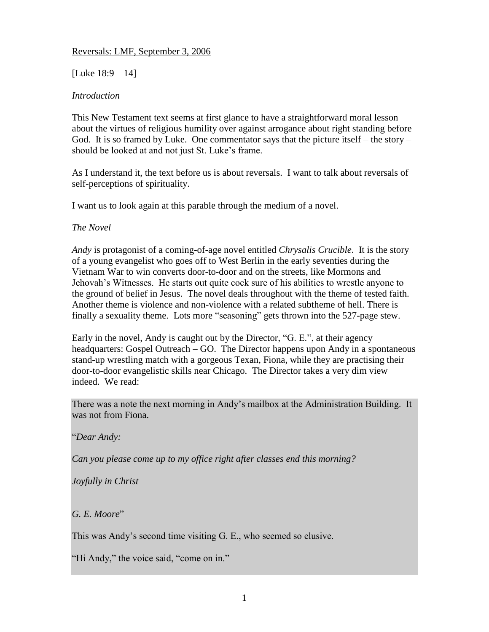### Reversals: LMF, September 3, 2006

# [Luke 18:9 – 14]

# *Introduction*

This New Testament text seems at first glance to have a straightforward moral lesson about the virtues of religious humility over against arrogance about right standing before God. It is so framed by Luke. One commentator says that the picture itself – the story – should be looked at and not just St. Luke's frame.

As I understand it, the text before us is about reversals. I want to talk about reversals of self-perceptions of spirituality.

I want us to look again at this parable through the medium of a novel.

## *The Novel*

*Andy* is protagonist of a coming-of-age novel entitled *Chrysalis Crucible*. It is the story of a young evangelist who goes off to West Berlin in the early seventies during the Vietnam War to win converts door-to-door and on the streets, like Mormons and Jehovah's Witnesses. He starts out quite cock sure of his abilities to wrestle anyone to the ground of belief in Jesus. The novel deals throughout with the theme of tested faith. Another theme is violence and non-violence with a related subtheme of hell. There is finally a sexuality theme. Lots more "seasoning" gets thrown into the 527-page stew.

Early in the novel, Andy is caught out by the Director, "G. E.", at their agency headquarters: Gospel Outreach – GO. The Director happens upon Andy in a spontaneous stand-up wrestling match with a gorgeous Texan, Fiona, while they are practising their door-to-door evangelistic skills near Chicago. The Director takes a very dim view indeed. We read:

There was a note the next morning in Andy's mailbox at the Administration Building. It was not from Fiona.

"*Dear Andy:*

*Can you please come up to my office right after classes end this morning?*

*Joyfully in Christ*

*G. E. Moore*"

This was Andy's second time visiting G. E., who seemed so elusive.

"Hi Andy," the voice said, "come on in."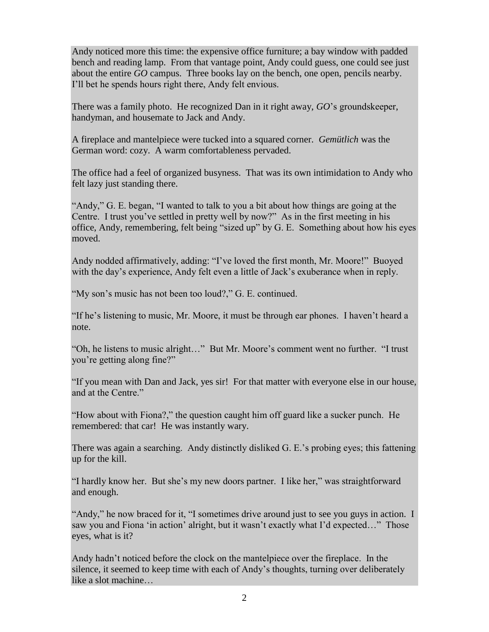Andy noticed more this time: the expensive office furniture; a bay window with padded bench and reading lamp. From that vantage point, Andy could guess, one could see just about the entire *GO* campus. Three books lay on the bench, one open, pencils nearby. I'll bet he spends hours right there, Andy felt envious.

There was a family photo. He recognized Dan in it right away, *GO*'s groundskeeper, handyman, and housemate to Jack and Andy.

A fireplace and mantelpiece were tucked into a squared corner. *Gemütlich* was the German word: cozy. A warm comfortableness pervaded.

The office had a feel of organized busyness. That was its own intimidation to Andy who felt lazy just standing there.

"Andy," G. E. began, "I wanted to talk to you a bit about how things are going at the Centre. I trust you've settled in pretty well by now?" As in the first meeting in his office, Andy, remembering, felt being "sized up" by G. E. Something about how his eyes moved.

Andy nodded affirmatively, adding: "I've loved the first month, Mr. Moore!" Buoyed with the day's experience, Andy felt even a little of Jack's exuberance when in reply.

"My son's music has not been too loud?," G. E. continued.

"If he's listening to music, Mr. Moore, it must be through ear phones. I haven't heard a note.

"Oh, he listens to music alright…" But Mr. Moore's comment went no further. "I trust you're getting along fine?"

"If you mean with Dan and Jack, yes sir! For that matter with everyone else in our house, and at the Centre."

"How about with Fiona?," the question caught him off guard like a sucker punch. He remembered: that car! He was instantly wary.

There was again a searching. Andy distinctly disliked G. E.'s probing eyes; this fattening up for the kill.

"I hardly know her. But she's my new doors partner. I like her," was straightforward and enough.

"Andy," he now braced for it, "I sometimes drive around just to see you guys in action. I saw you and Fiona 'in action' alright, but it wasn't exactly what I'd expected..." Those eyes, what is it?

Andy hadn't noticed before the clock on the mantelpiece over the fireplace. In the silence, it seemed to keep time with each of Andy's thoughts, turning over deliberately like a slot machine…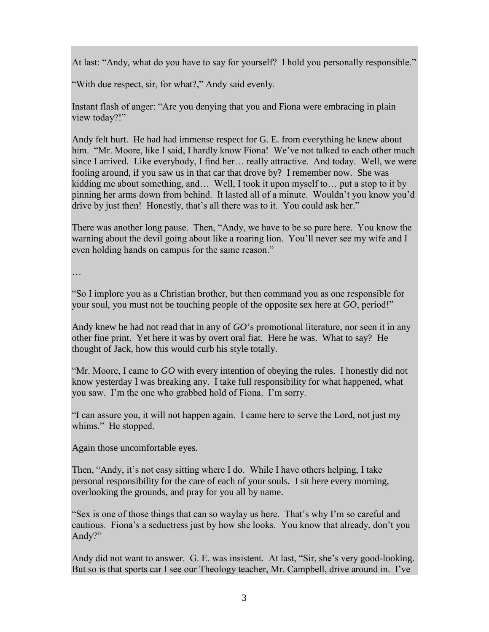At last: "Andy, what do you have to say for yourself? I hold you personally responsible."

"With due respect, sir, for what?," Andy said evenly.

Instant flash of anger: "Are you denying that you and Fiona were embracing in plain view today?!"

Andy felt hurt. He had had immense respect for G. E. from everything he knew about him. "Mr. Moore, like I said, I hardly know Fiona! We've not talked to each other much since I arrived. Like everybody, I find her… really attractive. And today. Well, we were fooling around, if you saw us in that car that drove by? I remember now. She was kidding me about something, and… Well, I took it upon myself to… put a stop to it by pinning her arms down from behind. It lasted all of a minute. Wouldn't you know you'd drive by just then! Honestly, that's all there was to it. You could ask her."

There was another long pause. Then, "Andy, we have to be so pure here. You know the warning about the devil going about like a roaring lion. You'll never see my wife and I even holding hands on campus for the same reason."

…

"So I implore you as a Christian brother, but then command you as one responsible for your soul, you must not be touching people of the opposite sex here at *GO*, period!"

Andy knew he had not read that in any of *GO*'s promotional literature, nor seen it in any other fine print. Yet here it was by overt oral fiat. Here he was. What to say? He thought of Jack, how this would curb his style totally.

"Mr. Moore, I came to *GO* with every intention of obeying the rules. I honestly did not know yesterday I was breaking any. I take full responsibility for what happened, what you saw. I'm the one who grabbed hold of Fiona. I'm sorry.

"I can assure you, it will not happen again. I came here to serve the Lord, not just my whims." He stopped.

Again those uncomfortable eyes.

Then, "Andy, it's not easy sitting where I do. While I have others helping, I take personal responsibility for the care of each of your souls. I sit here every morning, overlooking the grounds, and pray for you all by name.

"Sex is one of those things that can so waylay us here. That's why I'm so careful and cautious. Fiona's a seductress just by how she looks. You know that already, don't you Andy?"

Andy did not want to answer. G. E. was insistent. At last, "Sir, she's very good-looking. But so is that sports car I see our Theology teacher, Mr. Campbell, drive around in. I've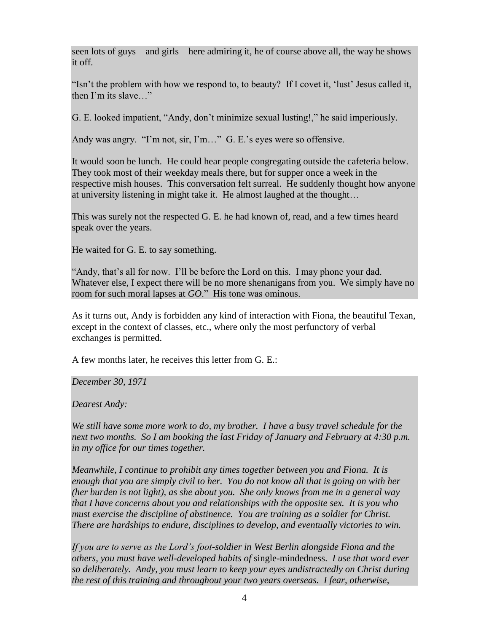seen lots of guys – and girls – here admiring it, he of course above all, the way he shows it off.

"Isn't the problem with how we respond to, to beauty? If I covet it, 'lust' Jesus called it, then I'm its slave…"

G. E. looked impatient, "Andy, don't minimize sexual lusting!," he said imperiously.

Andy was angry. "I'm not, sir, I'm…" G. E.'s eyes were so offensive.

It would soon be lunch. He could hear people congregating outside the cafeteria below. They took most of their weekday meals there, but for supper once a week in the respective mish houses. This conversation felt surreal. He suddenly thought how anyone at university listening in might take it. He almost laughed at the thought…

This was surely not the respected G. E. he had known of, read, and a few times heard speak over the years.

He waited for G. E. to say something.

"Andy, that's all for now. I'll be before the Lord on this. I may phone your dad. Whatever else, I expect there will be no more shenanigans from you. We simply have no room for such moral lapses at *GO*." His tone was ominous.

As it turns out, Andy is forbidden any kind of interaction with Fiona, the beautiful Texan, except in the context of classes, etc., where only the most perfunctory of verbal exchanges is permitted.

A few months later, he receives this letter from G. E.:

*December 30, 1971*

*Dearest Andy:*

*We still have some more work to do, my brother. I have a busy travel schedule for the next two months. So I am booking the last Friday of January and February at 4:30 p.m. in my office for our times together.*

*Meanwhile, I continue to prohibit any times together between you and Fiona. It is enough that you are simply civil to her. You do not know all that is going on with her (her burden is not light), as she about you. She only knows from me in a general way that I have concerns about you and relationships with the opposite sex. It is you who must exercise the discipline of abstinence. You are training as a soldier for Christ. There are hardships to endure, disciplines to develop, and eventually victories to win.*

*If you are to serve as the Lord's foot-soldier in West Berlin alongside Fiona and the others, you must have well-developed habits of* single-mindedness. *I use that word ever so deliberately. Andy, you must learn to keep your eyes undistractedly on Christ during the rest of this training and throughout your two years overseas. I fear, otherwise,*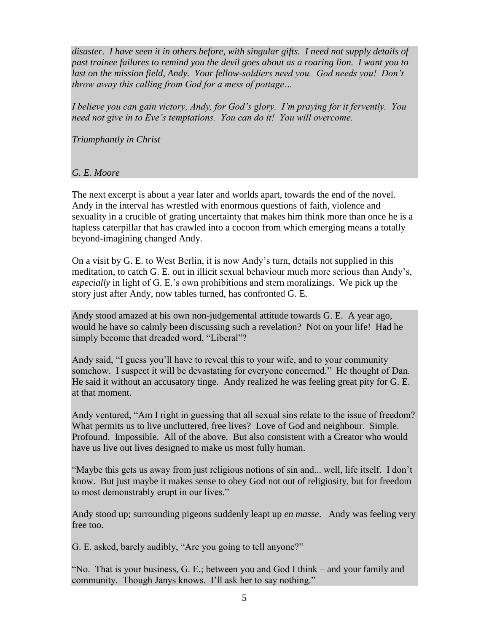*disaster. I have seen it in others before, with singular gifts. I need not supply details of past trainee failures to remind you the devil goes about as a roaring lion. I want you to*  last on the mission field, Andy. Your fellow-soldiers need you. God needs you! Don't *throw away this calling from God for a mess of pottage…*

*I believe you can gain victory, Andy, for God's glory. I'm praying for it fervently. You need not give in to Eve's temptations. You can do it! You will overcome.*

*Triumphantly in Christ*

## *G. E. Moore*

The next excerpt is about a year later and worlds apart, towards the end of the novel. Andy in the interval has wrestled with enormous questions of faith, violence and sexuality in a crucible of grating uncertainty that makes him think more than once he is a hapless caterpillar that has crawled into a cocoon from which emerging means a totally beyond-imagining changed Andy.

On a visit by G. E. to West Berlin, it is now Andy's turn, details not supplied in this meditation, to catch G. E. out in illicit sexual behaviour much more serious than Andy's, *especially* in light of G. E.'s own prohibitions and stern moralizings. We pick up the story just after Andy, now tables turned, has confronted G. E.

Andy stood amazed at his own non-judgemental attitude towards G. E. A year ago, would he have so calmly been discussing such a revelation? Not on your life! Had he simply become that dreaded word, "Liberal"?

Andy said, "I guess you'll have to reveal this to your wife, and to your community somehow. I suspect it will be devastating for everyone concerned." He thought of Dan. He said it without an accusatory tinge. Andy realized he was feeling great pity for G. E. at that moment.

Andy ventured, "Am I right in guessing that all sexual sins relate to the issue of freedom? What permits us to live uncluttered, free lives? Love of God and neighbour. Simple. Profound. Impossible. All of the above. But also consistent with a Creator who would have us live out lives designed to make us most fully human.

"Maybe this gets us away from just religious notions of sin and... well, life itself. I don't know. But just maybe it makes sense to obey God not out of religiosity, but for freedom to most demonstrably erupt in our lives."

Andy stood up; surrounding pigeons suddenly leapt up *en masse*. Andy was feeling very free too.

G. E. asked, barely audibly, "Are you going to tell anyone?"

"No. That is your business, G. E.; between you and God I think – and your family and community. Though Janys knows. I'll ask her to say nothing."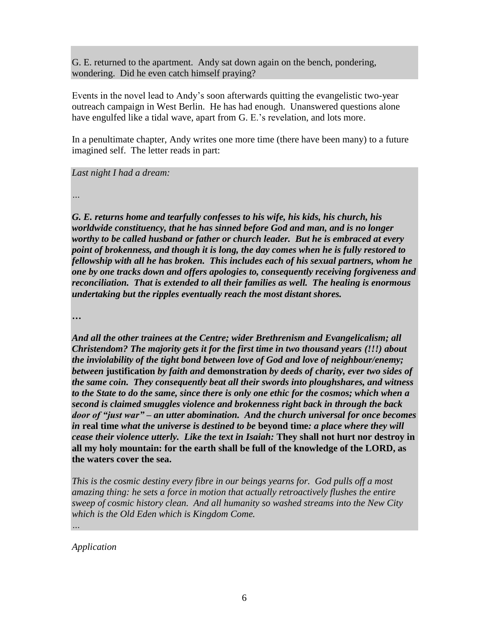G. E. returned to the apartment. Andy sat down again on the bench, pondering, wondering. Did he even catch himself praying?

Events in the novel lead to Andy's soon afterwards quitting the evangelistic two-year outreach campaign in West Berlin. He has had enough. Unanswered questions alone have engulfed like a tidal wave, apart from G. E.'s revelation, and lots more.

In a penultimate chapter, Andy writes one more time (there have been many) to a future imagined self. The letter reads in part:

*Last night I had a dream:*

*…*

*G. E. returns home and tearfully confesses to his wife, his kids, his church, his worldwide constituency, that he has sinned before God and man, and is no longer worthy to be called husband or father or church leader. But he is embraced at every point of brokenness, and though it is long, the day comes when he is fully restored to fellowship with all he has broken. This includes each of his sexual partners, whom he one by one tracks down and offers apologies to, consequently receiving forgiveness and reconciliation. That is extended to all their families as well. The healing is enormous undertaking but the ripples eventually reach the most distant shores.*

**…**

*And all the other trainees at the Centre; wider Brethrenism and Evangelicalism; all Christendom? The majority gets it for the first time in two thousand years (!!!) about the inviolability of the tight bond between love of God and love of neighbour/enemy; between* **justification** *by faith and* **demonstration** *by deeds of charity, ever two sides of the same coin. They consequently beat all their swords into ploughshares, and witness to the State to do the same, since there is only one ethic for the cosmos; which when a second is claimed smuggles violence and brokenness right back in through the back door of "just war" – an utter abomination. And the church universal for once becomes in* **real time** *what the universe is destined to be* **beyond time***: a place where they will cease their violence utterly. Like the text in Isaiah:* **They shall not hurt nor destroy in all my holy mountain: for the earth shall be full of the knowledge of the LORD, as the waters cover the sea.**

*This is the cosmic destiny every fibre in our beings yearns for. God pulls off a most amazing thing: he sets a force in motion that actually retroactively flushes the entire sweep of cosmic history clean. And all humanity so washed streams into the New City which is the Old Eden which is Kingdom Come.*

*Application*

*…*